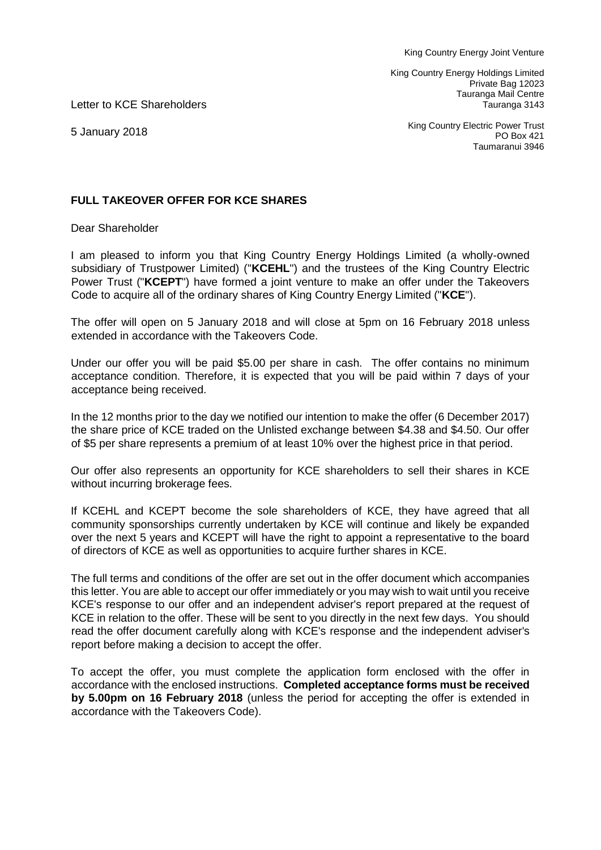King Country Energy Holdings Limited Private Bag 12023 Tauranga Mail Centre Tauranga 3143

Letter to KCE Shareholders

5 January 2018

King Country Electric Power Trust PO Box 421 Taumaranui 3946

## **FULL TAKEOVER OFFER FOR KCE SHARES**

Dear Shareholder

I am pleased to inform you that King Country Energy Holdings Limited (a wholly-owned subsidiary of Trustpower Limited) ("**KCEHL**") and the trustees of the King Country Electric Power Trust ("**KCEPT**") have formed a joint venture to make an offer under the Takeovers Code to acquire all of the ordinary shares of King Country Energy Limited ("**KCE**").

The offer will open on 5 January 2018 and will close at 5pm on 16 February 2018 unless extended in accordance with the Takeovers Code.

Under our offer you will be paid \$5.00 per share in cash. The offer contains no minimum acceptance condition. Therefore, it is expected that you will be paid within 7 days of your acceptance being received.

In the 12 months prior to the day we notified our intention to make the offer (6 December 2017) the share price of KCE traded on the Unlisted exchange between \$4.38 and \$4.50. Our offer of \$5 per share represents a premium of at least 10% over the highest price in that period.

Our offer also represents an opportunity for KCE shareholders to sell their shares in KCE without incurring brokerage fees.

If KCEHL and KCEPT become the sole shareholders of KCE, they have agreed that all community sponsorships currently undertaken by KCE will continue and likely be expanded over the next 5 years and KCEPT will have the right to appoint a representative to the board of directors of KCE as well as opportunities to acquire further shares in KCE.

The full terms and conditions of the offer are set out in the offer document which accompanies this letter. You are able to accept our offer immediately or you may wish to wait until you receive KCE's response to our offer and an independent adviser's report prepared at the request of KCE in relation to the offer. These will be sent to you directly in the next few days. You should read the offer document carefully along with KCE's response and the independent adviser's report before making a decision to accept the offer.

To accept the offer, you must complete the application form enclosed with the offer in accordance with the enclosed instructions. **Completed acceptance forms must be received by 5.00pm on 16 February 2018** (unless the period for accepting the offer is extended in accordance with the Takeovers Code).